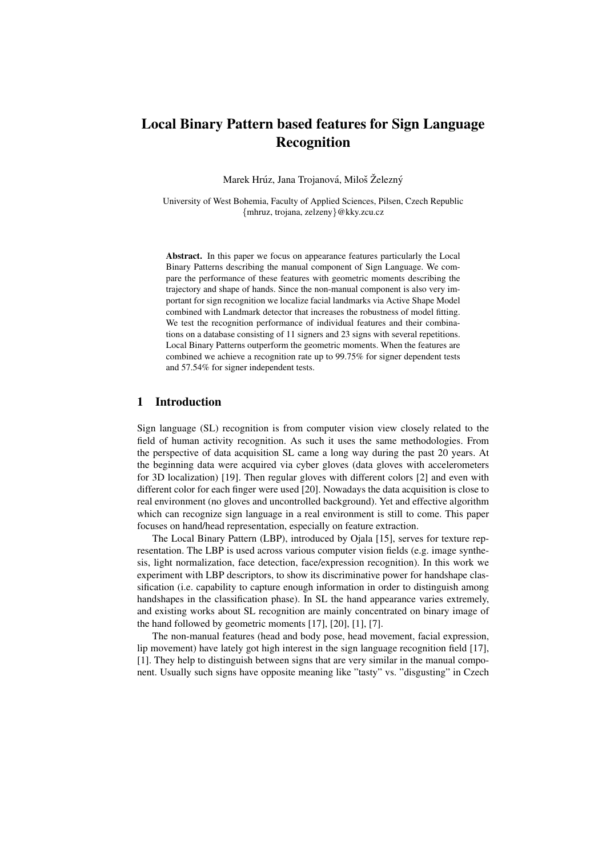Marek Hrúz, Jana Trojanová, Miloš Železný

University of West Bohemia, Faculty of Applied Sciences, Pilsen, Czech Republic {mhruz, trojana, zelzeny}@kky.zcu.cz

Abstract. In this paper we focus on appearance features particularly the Local Binary Patterns describing the manual component of Sign Language. We compare the performance of these features with geometric moments describing the trajectory and shape of hands. Since the non-manual component is also very important for sign recognition we localize facial landmarks via Active Shape Model combined with Landmark detector that increases the robustness of model fitting. We test the recognition performance of individual features and their combinations on a database consisting of 11 signers and 23 signs with several repetitions. Local Binary Patterns outperform the geometric moments. When the features are combined we achieve a recognition rate up to 99.75% for signer dependent tests and 57.54% for signer independent tests.

# 1 Introduction

Sign language (SL) recognition is from computer vision view closely related to the field of human activity recognition. As such it uses the same methodologies. From the perspective of data acquisition SL came a long way during the past 20 years. At the beginning data were acquired via cyber gloves (data gloves with accelerometers for 3D localization) [19]. Then regular gloves with different colors [2] and even with different color for each finger were used [20]. Nowadays the data acquisition is close to real environment (no gloves and uncontrolled background). Yet and effective algorithm which can recognize sign language in a real environment is still to come. This paper focuses on hand/head representation, especially on feature extraction.

The Local Binary Pattern (LBP), introduced by Ojala [15], serves for texture representation. The LBP is used across various computer vision fields (e.g. image synthesis, light normalization, face detection, face/expression recognition). In this work we experiment with LBP descriptors, to show its discriminative power for handshape classification (i.e. capability to capture enough information in order to distinguish among handshapes in the classification phase). In SL the hand appearance varies extremely, and existing works about SL recognition are mainly concentrated on binary image of the hand followed by geometric moments [17], [20], [1], [7].

The non-manual features (head and body pose, head movement, facial expression, lip movement) have lately got high interest in the sign language recognition field [17], [1]. They help to distinguish between signs that are very similar in the manual component. Usually such signs have opposite meaning like "tasty" vs. "disgusting" in Czech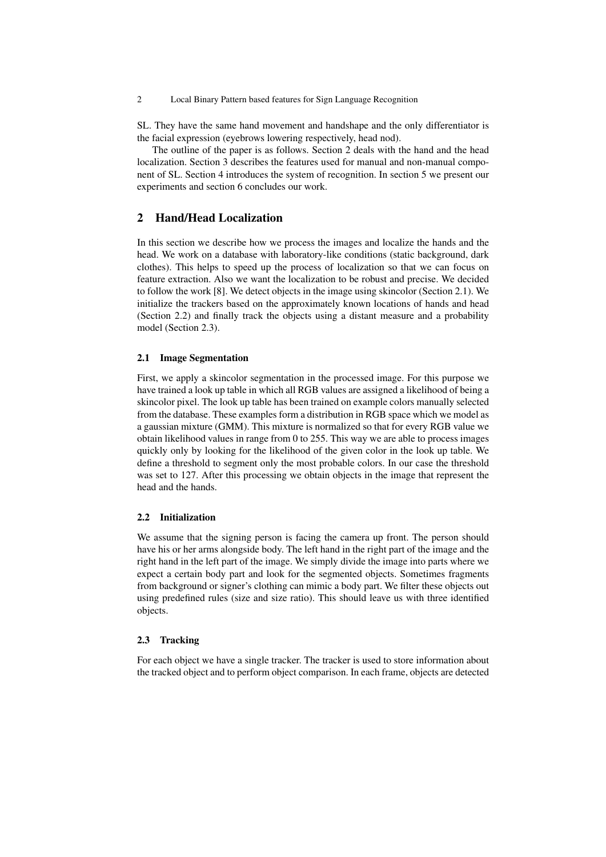SL. They have the same hand movement and handshape and the only differentiator is the facial expression (eyebrows lowering respectively, head nod).

The outline of the paper is as follows. Section 2 deals with the hand and the head localization. Section 3 describes the features used for manual and non-manual component of SL. Section 4 introduces the system of recognition. In section 5 we present our experiments and section 6 concludes our work.

# 2 Hand/Head Localization

In this section we describe how we process the images and localize the hands and the head. We work on a database with laboratory-like conditions (static background, dark clothes). This helps to speed up the process of localization so that we can focus on feature extraction. Also we want the localization to be robust and precise. We decided to follow the work [8]. We detect objects in the image using skincolor (Section 2.1). We initialize the trackers based on the approximately known locations of hands and head (Section 2.2) and finally track the objects using a distant measure and a probability model (Section 2.3).

#### 2.1 Image Segmentation

First, we apply a skincolor segmentation in the processed image. For this purpose we have trained a look up table in which all RGB values are assigned a likelihood of being a skincolor pixel. The look up table has been trained on example colors manually selected from the database. These examples form a distribution in RGB space which we model as a gaussian mixture (GMM). This mixture is normalized so that for every RGB value we obtain likelihood values in range from 0 to 255. This way we are able to process images quickly only by looking for the likelihood of the given color in the look up table. We define a threshold to segment only the most probable colors. In our case the threshold was set to 127. After this processing we obtain objects in the image that represent the head and the hands.

# 2.2 Initialization

We assume that the signing person is facing the camera up front. The person should have his or her arms alongside body. The left hand in the right part of the image and the right hand in the left part of the image. We simply divide the image into parts where we expect a certain body part and look for the segmented objects. Sometimes fragments from background or signer's clothing can mimic a body part. We filter these objects out using predefined rules (size and size ratio). This should leave us with three identified objects.

#### 2.3 Tracking

For each object we have a single tracker. The tracker is used to store information about the tracked object and to perform object comparison. In each frame, objects are detected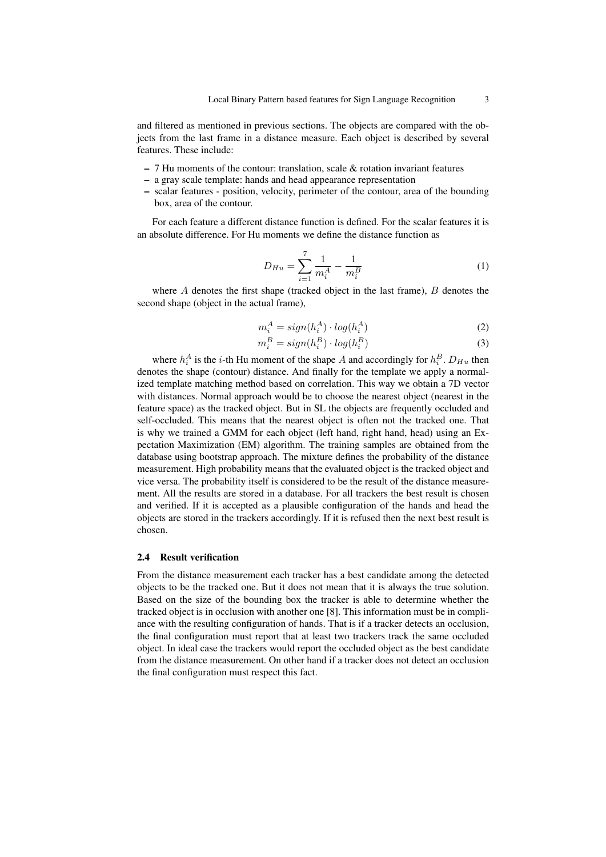and filtered as mentioned in previous sections. The objects are compared with the objects from the last frame in a distance measure. Each object is described by several features. These include:

- $-7$  Hu moments of the contour: translation, scale  $\&$  rotation invariant features
- a gray scale template: hands and head appearance representation
- scalar features position, velocity, perimeter of the contour, area of the bounding box, area of the contour.

For each feature a different distance function is defined. For the scalar features it is an absolute difference. For Hu moments we define the distance function as

$$
D_{Hu} = \sum_{i=1}^{7} \frac{1}{m_i^A} - \frac{1}{m_i^B}
$$
 (1)

where  $A$  denotes the first shape (tracked object in the last frame),  $B$  denotes the second shape (object in the actual frame),

$$
m_i^A = sign(h_i^A) \cdot log(h_i^A) \tag{2}
$$

$$
m_i^B = sign(h_i^B) \cdot log(h_i^B)
$$
\n(3)

where  $h_i^A$  is the *i*-th Hu moment of the shape A and accordingly for  $h_i^B$ .  $D_{Hu}$  then denotes the shape (contour) distance. And finally for the template we apply a normalized template matching method based on correlation. This way we obtain a 7D vector with distances. Normal approach would be to choose the nearest object (nearest in the feature space) as the tracked object. But in SL the objects are frequently occluded and self-occluded. This means that the nearest object is often not the tracked one. That is why we trained a GMM for each object (left hand, right hand, head) using an Expectation Maximization (EM) algorithm. The training samples are obtained from the database using bootstrap approach. The mixture defines the probability of the distance measurement. High probability means that the evaluated object is the tracked object and vice versa. The probability itself is considered to be the result of the distance measurement. All the results are stored in a database. For all trackers the best result is chosen and verified. If it is accepted as a plausible configuration of the hands and head the objects are stored in the trackers accordingly. If it is refused then the next best result is chosen.

#### 2.4 Result verification

From the distance measurement each tracker has a best candidate among the detected objects to be the tracked one. But it does not mean that it is always the true solution. Based on the size of the bounding box the tracker is able to determine whether the tracked object is in occlusion with another one [8]. This information must be in compliance with the resulting configuration of hands. That is if a tracker detects an occlusion, the final configuration must report that at least two trackers track the same occluded object. In ideal case the trackers would report the occluded object as the best candidate from the distance measurement. On other hand if a tracker does not detect an occlusion the final configuration must respect this fact.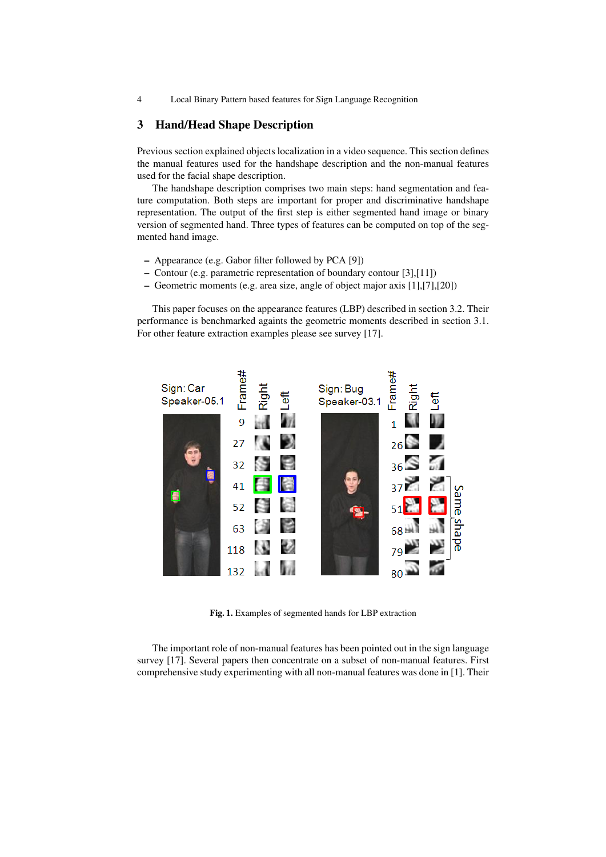# 3 Hand/Head Shape Description

Previous section explained objects localization in a video sequence. This section defines the manual features used for the handshape description and the non-manual features used for the facial shape description.

The handshape description comprises two main steps: hand segmentation and feature computation. Both steps are important for proper and discriminative handshape representation. The output of the first step is either segmented hand image or binary version of segmented hand. Three types of features can be computed on top of the segmented hand image.

- Appearance (e.g. Gabor filter followed by PCA [9])
- Contour (e.g. parametric representation of boundary contour [3],[11])
- Geometric moments (e.g. area size, angle of object major axis [1],[7],[20])

This paper focuses on the appearance features (LBP) described in section 3.2. Their performance is benchmarked againts the geometric moments described in section 3.1. For other feature extraction examples please see survey [17].



Fig. 1. Examples of segmented hands for LBP extraction

The important role of non-manual features has been pointed out in the sign language survey [17]. Several papers then concentrate on a subset of non-manual features. First comprehensive study experimenting with all non-manual features was done in [1]. Their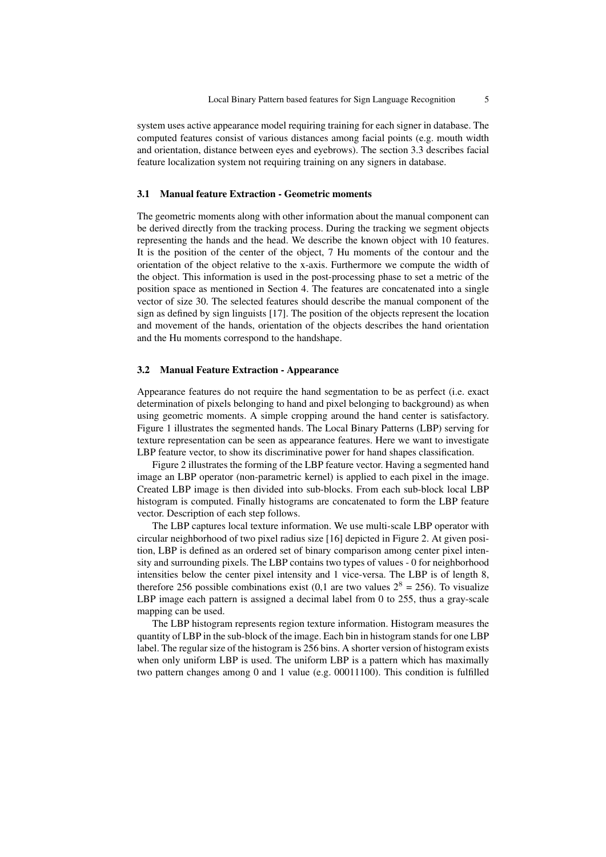system uses active appearance model requiring training for each signer in database. The computed features consist of various distances among facial points (e.g. mouth width and orientation, distance between eyes and eyebrows). The section 3.3 describes facial feature localization system not requiring training on any signers in database.

### 3.1 Manual feature Extraction - Geometric moments

The geometric moments along with other information about the manual component can be derived directly from the tracking process. During the tracking we segment objects representing the hands and the head. We describe the known object with 10 features. It is the position of the center of the object, 7 Hu moments of the contour and the orientation of the object relative to the x-axis. Furthermore we compute the width of the object. This information is used in the post-processing phase to set a metric of the position space as mentioned in Section 4. The features are concatenated into a single vector of size 30. The selected features should describe the manual component of the sign as defined by sign linguists [17]. The position of the objects represent the location and movement of the hands, orientation of the objects describes the hand orientation and the Hu moments correspond to the handshape.

#### 3.2 Manual Feature Extraction - Appearance

Appearance features do not require the hand segmentation to be as perfect (i.e. exact determination of pixels belonging to hand and pixel belonging to background) as when using geometric moments. A simple cropping around the hand center is satisfactory. Figure 1 illustrates the segmented hands. The Local Binary Patterns (LBP) serving for texture representation can be seen as appearance features. Here we want to investigate LBP feature vector, to show its discriminative power for hand shapes classification.

Figure 2 illustrates the forming of the LBP feature vector. Having a segmented hand image an LBP operator (non-parametric kernel) is applied to each pixel in the image. Created LBP image is then divided into sub-blocks. From each sub-block local LBP histogram is computed. Finally histograms are concatenated to form the LBP feature vector. Description of each step follows.

The LBP captures local texture information. We use multi-scale LBP operator with circular neighborhood of two pixel radius size [16] depicted in Figure 2. At given position, LBP is defined as an ordered set of binary comparison among center pixel intensity and surrounding pixels. The LBP contains two types of values - 0 for neighborhood intensities below the center pixel intensity and 1 vice-versa. The LBP is of length 8, therefore 256 possible combinations exist (0,1 are two values  $2^8 = 256$ ). To visualize LBP image each pattern is assigned a decimal label from 0 to 255, thus a gray-scale mapping can be used.

The LBP histogram represents region texture information. Histogram measures the quantity of LBP in the sub-block of the image. Each bin in histogram stands for one LBP label. The regular size of the histogram is 256 bins. A shorter version of histogram exists when only uniform LBP is used. The uniform LBP is a pattern which has maximally two pattern changes among 0 and 1 value (e.g. 00011100). This condition is fulfilled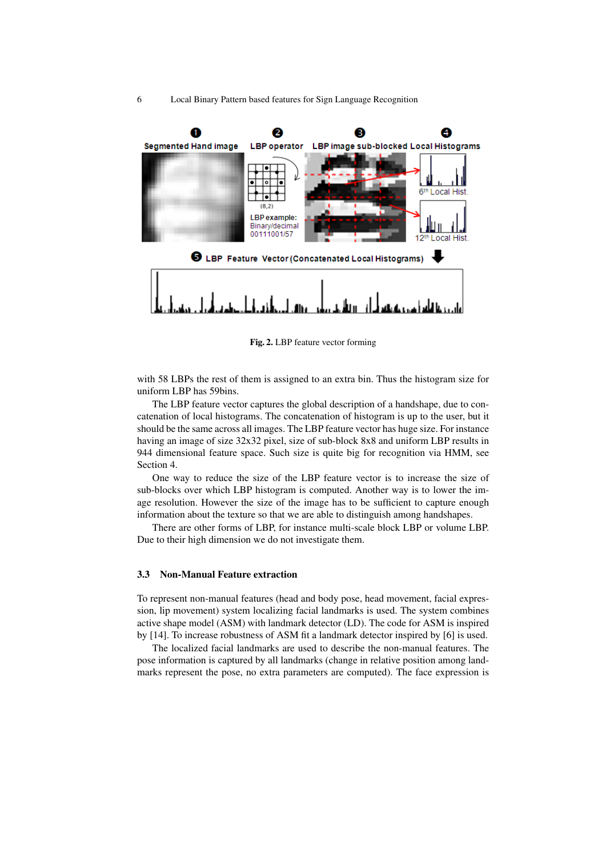

Fig. 2. LBP feature vector forming

with 58 LBPs the rest of them is assigned to an extra bin. Thus the histogram size for uniform LBP has 59bins.

The LBP feature vector captures the global description of a handshape, due to concatenation of local histograms. The concatenation of histogram is up to the user, but it should be the same across all images. The LBP feature vector has huge size. For instance having an image of size 32x32 pixel, size of sub-block 8x8 and uniform LBP results in 944 dimensional feature space. Such size is quite big for recognition via HMM, see Section 4.

One way to reduce the size of the LBP feature vector is to increase the size of sub-blocks over which LBP histogram is computed. Another way is to lower the image resolution. However the size of the image has to be sufficient to capture enough information about the texture so that we are able to distinguish among handshapes.

There are other forms of LBP, for instance multi-scale block LBP or volume LBP. Due to their high dimension we do not investigate them.

# 3.3 Non-Manual Feature extraction

To represent non-manual features (head and body pose, head movement, facial expression, lip movement) system localizing facial landmarks is used. The system combines active shape model (ASM) with landmark detector (LD). The code for ASM is inspired by [14]. To increase robustness of ASM fit a landmark detector inspired by [6] is used.

The localized facial landmarks are used to describe the non-manual features. The pose information is captured by all landmarks (change in relative position among landmarks represent the pose, no extra parameters are computed). The face expression is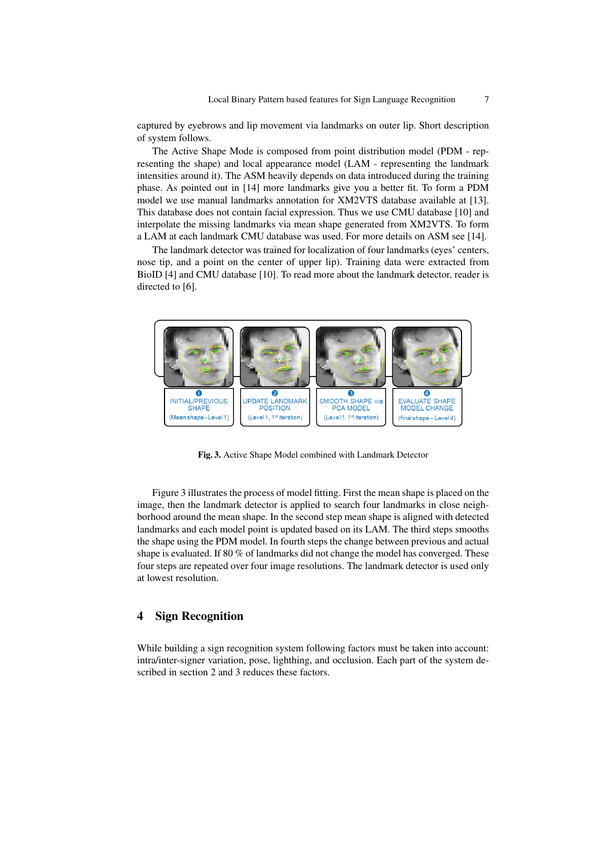captured by eyebrows and lip movement via landmarks on outer lip. Short description of system follows.

The Active Shape Mode is composed from point distribution model (PDM - representing the shape) and local appearance model (LAM - representing the landmark intensities around it). The ASM heavily depends on data introduced during the training phase. As pointed out in [14] more landmarks give you a better fit. To form a PDM model we use manual landmarks annotation for XM2VTS database available at [13]. This database does not contain facial expression. Thus we use CMU database [10] and interpolate the missing landmarks via mean shape generated from XM2VTS. To form a LAM at each landmark CMU database was used. For more details on ASM see [14].

The landmark detector was trained for localization of four landmarks (eyes' centers, nose tip, and a point on the center of upper lip). Training data were extracted from BioID [4] and CMU database [10]. To read more about the landmark detector, reader is directed to [6].



Fig. 3. Active Shape Model combined with Landmark Detector

Figure 3 illustrates the process of model fitting. First the mean shape is placed on the image, then the landmark detector is applied to search four landmarks in close neighborhood around the mean shape. In the second step mean shape is aligned with detected landmarks and each model point is updated based on its LAM. The third steps smooths the shape using the PDM model. In fourth steps the change between previous and actual shape is evaluated. If 80 % of landmarks did not change the model has converged. These four steps are repeated over four image resolutions. The landmark detector is used only at lowest resolution.

# 4 Sign Recognition

While building a sign recognition system following factors must be taken into account: intra/inter-signer variation, pose, lighthing, and occlusion. Each part of the system described in section 2 and 3 reduces these factors.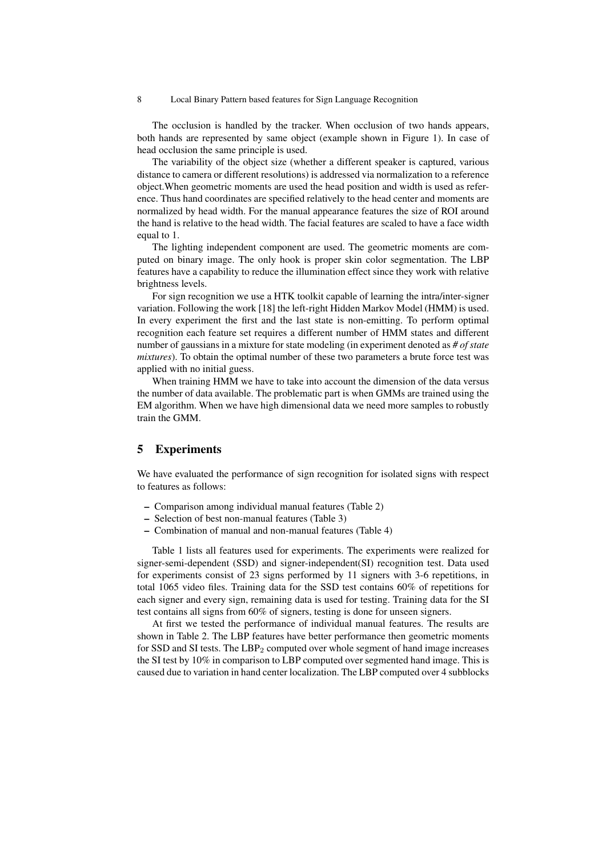The occlusion is handled by the tracker. When occlusion of two hands appears, both hands are represented by same object (example shown in Figure 1). In case of head occlusion the same principle is used.

The variability of the object size (whether a different speaker is captured, various distance to camera or different resolutions) is addressed via normalization to a reference object.When geometric moments are used the head position and width is used as reference. Thus hand coordinates are specified relatively to the head center and moments are normalized by head width. For the manual appearance features the size of ROI around the hand is relative to the head width. The facial features are scaled to have a face width equal to 1.

The lighting independent component are used. The geometric moments are computed on binary image. The only hook is proper skin color segmentation. The LBP features have a capability to reduce the illumination effect since they work with relative brightness levels.

For sign recognition we use a HTK toolkit capable of learning the intra/inter-signer variation. Following the work [18] the left-right Hidden Markov Model (HMM) is used. In every experiment the first and the last state is non-emitting. To perform optimal recognition each feature set requires a different number of HMM states and different number of gaussians in a mixture for state modeling (in experiment denoted as *# of state mixtures*). To obtain the optimal number of these two parameters a brute force test was applied with no initial guess.

When training HMM we have to take into account the dimension of the data versus the number of data available. The problematic part is when GMMs are trained using the EM algorithm. When we have high dimensional data we need more samples to robustly train the GMM.

# 5 Experiments

We have evaluated the performance of sign recognition for isolated signs with respect to features as follows:

- Comparison among individual manual features (Table 2)
- Selection of best non-manual features (Table 3)
- Combination of manual and non-manual features (Table 4)

Table 1 lists all features used for experiments. The experiments were realized for signer-semi-dependent (SSD) and signer-independent(SI) recognition test. Data used for experiments consist of 23 signs performed by 11 signers with 3-6 repetitions, in total 1065 video files. Training data for the SSD test contains 60% of repetitions for each signer and every sign, remaining data is used for testing. Training data for the SI test contains all signs from 60% of signers, testing is done for unseen signers.

At first we tested the performance of individual manual features. The results are shown in Table 2. The LBP features have better performance then geometric moments for SSD and SI tests. The  $LBP_2$  computed over whole segment of hand image increases the SI test by 10% in comparison to LBP computed over segmented hand image. This is caused due to variation in hand center localization. The LBP computed over 4 subblocks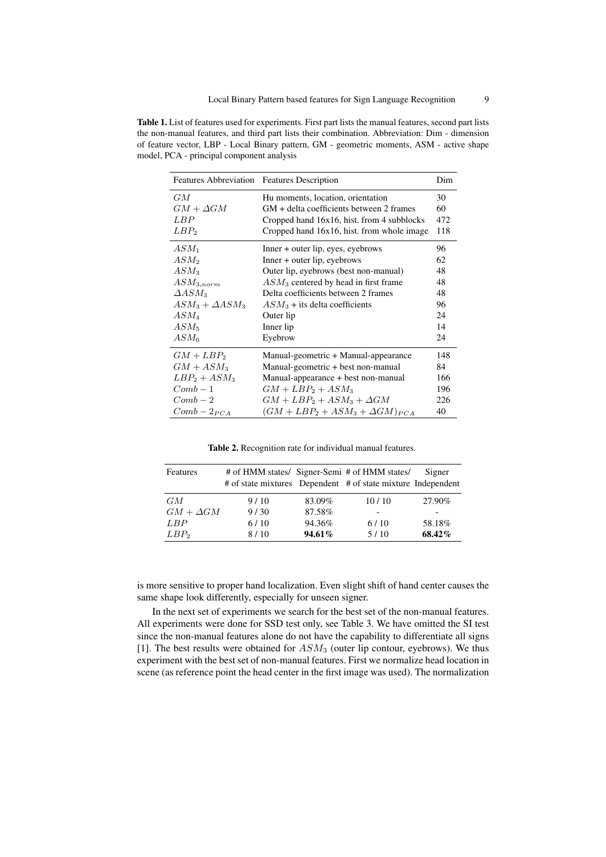Table 1. List of features used for experiments. First part lists the manual features, second part lists the non-manual features, and third part lists their combination. Abbreviation: Dim - dimension of feature vector, LBP - Local Binary pattern, GM - geometric moments, ASM - active shape model, PCA - principal component analysis

| Features Abbreviation Features Description |                                            | Dim |
|--------------------------------------------|--------------------------------------------|-----|
| GМ                                         | Hu moments, location, orientation          | 30  |
| $GM + \Delta GM$                           | GM + delta coefficients between 2 frames   | 60  |
| LBP                                        | Cropped hand 16x16, hist. from 4 subblocks | 472 |
| LBP <sub>2</sub>                           | Cropped hand 16x16, hist. from whole image | 118 |
| $ASM_1$                                    | Inner + outer lip, eyes, eyebrows          | 96  |
| $ASM_2$                                    | Inner + outer lip, eyebrows                | 62  |
| $ASM_3$                                    | Outer lip, eyebrows (best non-manual)      | 48  |
| $ASM_{3,norm}$                             | $ASM_3$ centered by head in first frame    | 48  |
| $\Delta ASM_3$                             | Delta coefficients between 2 frames        | 48  |
| $ASM_3 + \Delta ASM_3$                     | $ASM_3$ + its delta coefficients           | 96  |
| $ASM_4$                                    | Outer lip                                  | 24  |
| $ASM_5$                                    | Inner lip                                  | 14  |
| $ASM_{6}$                                  | Eyebrow                                    | 24  |
| $GM + LBP_2$                               | Manual-geometric + Manual-appearance       | 148 |
| $GM + ASM_3$                               | Manual-geometric + best non-manual         | 84  |
| $LBP_2 + ASM_3$                            | Manual-appearance + best non-manual        | 166 |
| $Comb-1$                                   | $GM + LBP_2 + ASM_3$                       | 196 |
| $Comb-2$                                   | $GM + LBP_2 + ASM_3 + \Delta GM$           | 226 |
| $Comb - 2_{PCA}$                           | $(GM + LBP_2 + ASM_3 + \Delta GM)_{PCA}$   | 40  |

Table 2. Recognition rate for individual manual features.

| Features         | # of HMM states/ Signer-Semi # of HMM states/<br># of state mixtures Dependent # of state mixture Independent |        |       | Signer |
|------------------|---------------------------------------------------------------------------------------------------------------|--------|-------|--------|
| GM               | 9/10                                                                                                          | 83.09% | 10/10 | 27.90% |
| $GM + \Delta GM$ | 9/30                                                                                                          | 87.58% |       |        |
| LBP              | 6/10                                                                                                          | 94.36% | 6/10  | 58.18% |
| $LBP_2$          | 8/10                                                                                                          | 94.61% | 5/10  | 68.42% |

is more sensitive to proper hand localization. Even slight shift of hand center causes the same shape look differently, especially for unseen signer.

In the next set of experiments we search for the best set of the non-manual features. All experiments were done for SSD test only, see Table 3. We have omitted the SI test since the non-manual features alone do not have the capability to differentiate all signs [1]. The best results were obtained for  $ASM<sub>3</sub>$  (outer lip contour, eyebrows). We thus experiment with the best set of non-manual features. First we normalize head location in scene (as reference point the head center in the first image was used). The normalization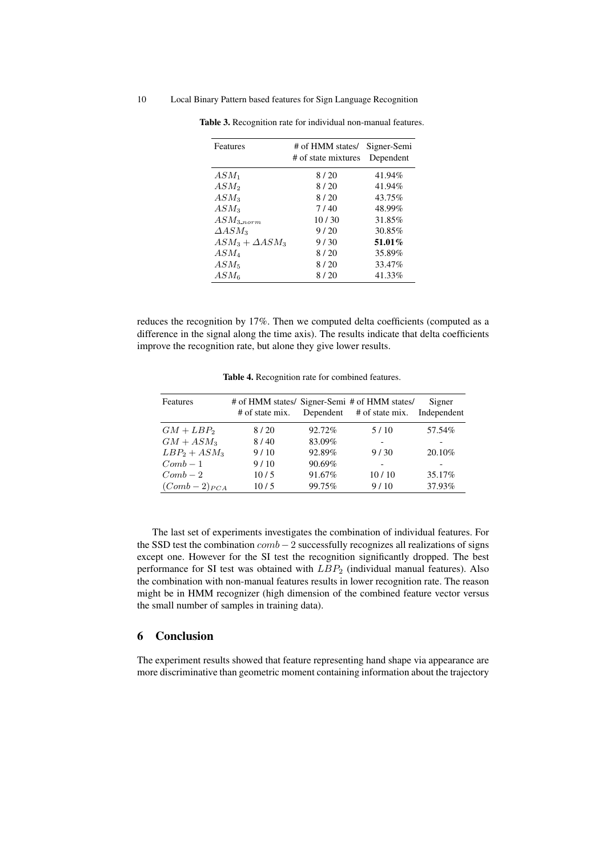| Features               | # of HMM states/<br># of state mixtures | Signer-Semi<br>Dependent |
|------------------------|-----------------------------------------|--------------------------|
| $ASM_1$                | 8/20                                    | 41.94%                   |
| $ASM_2$                | 8/20                                    | 41.94%                   |
| $ASM_3$                | 8/20                                    | 43.75%                   |
| $ASM_3$                | 7/40                                    | 48.99%                   |
| $ASM_{3,norm}$         | 10/30                                   | 31.85%                   |
| $\Delta ASM_3$         | 9/20                                    | 30.85%                   |
| $ASM_3 + \Delta ASM_3$ | 9/30                                    | 51.01%                   |
| $ASM_{4}$              | 8/20                                    | 35.89%                   |
| $ASM_5$                | 8/20                                    | 33.47%                   |
| $ASM_6$                | 8/20                                    | 41.33%                   |

Table 3. Recognition rate for individual non-manual features.

reduces the recognition by 17%. Then we computed delta coefficients (computed as a difference in the signal along the time axis). The results indicate that delta coefficients improve the recognition rate, but alone they give lower results.

| Features         | # of state mix. |        | # of HMM states/ Signer-Semi # of HMM states/<br>Dependent # of state mix. Independent | Signer |
|------------------|-----------------|--------|----------------------------------------------------------------------------------------|--------|
| $GM + LBP_2$     | 8/20            | 92.72% | 5/10                                                                                   | 57.54% |
| $GM + ASM_3$     | 8/40            | 83.09% |                                                                                        |        |
| $LBP_2 + ASM_3$  | 9/10            | 92.89% | 9/30                                                                                   | 20.10% |
| $Comb-1$         | 9/10            | 90.69% |                                                                                        |        |
| $Comb - 2$       | 10/5            | 91.67% | 10/10                                                                                  | 35.17% |
| $(Comb-2)_{PCA}$ | 10/5            | 99.75% | 9/10                                                                                   | 37.93% |

Table 4. Recognition rate for combined features.

The last set of experiments investigates the combination of individual features. For the SSD test the combination  $comb - 2$  successfully recognizes all realizations of signs except one. However for the SI test the recognition significantly dropped. The best performance for SI test was obtained with  $LBP_2$  (individual manual features). Also the combination with non-manual features results in lower recognition rate. The reason might be in HMM recognizer (high dimension of the combined feature vector versus the small number of samples in training data).

### 6 Conclusion

The experiment results showed that feature representing hand shape via appearance are more discriminative than geometric moment containing information about the trajectory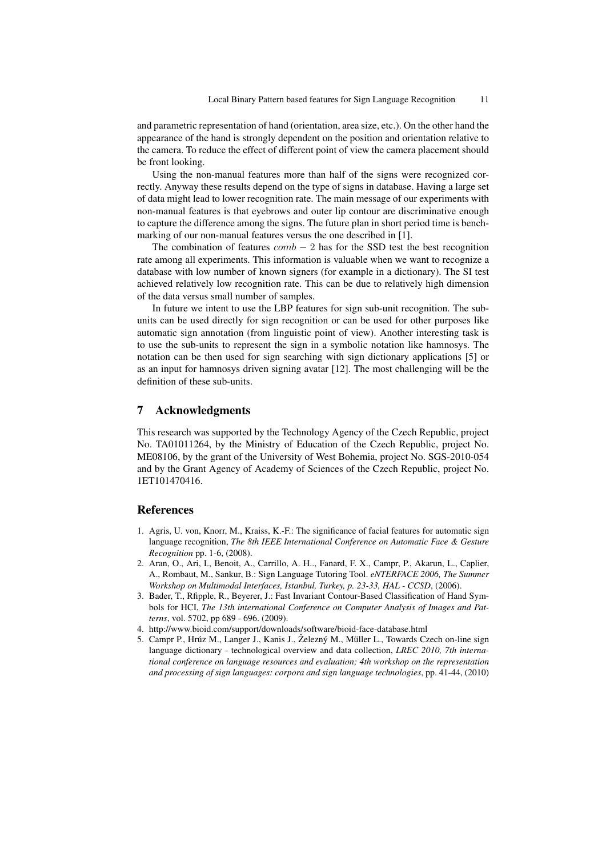and parametric representation of hand (orientation, area size, etc.). On the other hand the appearance of the hand is strongly dependent on the position and orientation relative to the camera. To reduce the effect of different point of view the camera placement should be front looking.

Using the non-manual features more than half of the signs were recognized correctly. Anyway these results depend on the type of signs in database. Having a large set of data might lead to lower recognition rate. The main message of our experiments with non-manual features is that eyebrows and outer lip contour are discriminative enough to capture the difference among the signs. The future plan in short period time is benchmarking of our non-manual features versus the one described in [1].

The combination of features  $comb - 2$  has for the SSD test the best recognition rate among all experiments. This information is valuable when we want to recognize a database with low number of known signers (for example in a dictionary). The SI test achieved relatively low recognition rate. This can be due to relatively high dimension of the data versus small number of samples.

In future we intent to use the LBP features for sign sub-unit recognition. The subunits can be used directly for sign recognition or can be used for other purposes like automatic sign annotation (from linguistic point of view). Another interesting task is to use the sub-units to represent the sign in a symbolic notation like hamnosys. The notation can be then used for sign searching with sign dictionary applications [5] or as an input for hamnosys driven signing avatar [12]. The most challenging will be the definition of these sub-units.

# 7 Acknowledgments

This research was supported by the Technology Agency of the Czech Republic, project No. TA01011264, by the Ministry of Education of the Czech Republic, project No. ME08106, by the grant of the University of West Bohemia, project No. SGS-2010-054 and by the Grant Agency of Academy of Sciences of the Czech Republic, project No. 1ET101470416.

# References

- 1. Agris, U. von, Knorr, M., Kraiss, K.-F.: The significance of facial features for automatic sign language recognition, *The 8th IEEE International Conference on Automatic Face & Gesture Recognition* pp. 1-6, (2008).
- 2. Aran, O., Ari, I., Benoit, A., Carrillo, A. H.., Fanard, F. X., Campr, P., Akarun, L., Caplier, A., Rombaut, M., Sankur, B.: Sign Language Tutoring Tool. *eNTERFACE 2006, The Summer Workshop on Multimodal Interfaces, Istanbul, Turkey, p. 23-33, HAL - CCSD*, (2006).
- 3. Bader, T., Rfipple, R., Beyerer, J.: Fast Invariant Contour-Based Classification of Hand Symbols for HCI, *The 13th international Conference on Computer Analysis of Images and Patterns*, vol. 5702, pp 689 - 696. (2009).
- 4. http://www.bioid.com/support/downloads/software/bioid-face-database.html
- 5. Campr P., Hrúz M., Langer J., Kanis J., Železný M., Müller L., Towards Czech on-line sign language dictionary - technological overview and data collection, *LREC 2010, 7th international conference on language resources and evaluation; 4th workshop on the representation and processing of sign languages: corpora and sign language technologies*, pp. 41-44, (2010)